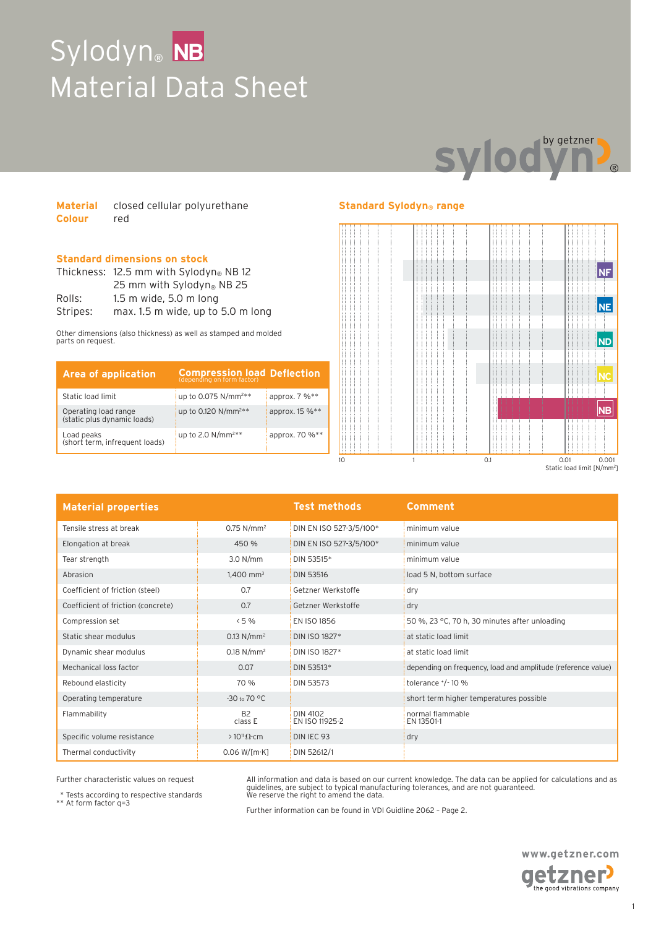## **Sylodyn**® Material Data Sheet **NB**



| <b>Material</b> | closed cellular polyurethane |  |
|-----------------|------------------------------|--|
| <b>Colour</b>   | red                          |  |

### **Standard dimensions on stock**

|          | Thickness: $12.5$ mm with Sylodyn® NB 12 |  |
|----------|------------------------------------------|--|
|          | 25 mm with Sylodyn® NB 25                |  |
| Rolls:   | $1.5$ m wide, $5.0$ m long               |  |
| Stripes: | max. 1.5 m wide, up to 5.0 m long        |  |

Other dimensions (also thickness) as well as stamped and molded parts on request.

| <b>Area of application</b>                          | <b>Compression load Deflection</b> |                |
|-----------------------------------------------------|------------------------------------|----------------|
| Static load limit                                   | up to 0.075 N/mm <sup>2**</sup>    | approx. 7 %**  |
| Operating load range<br>(static plus dynamic loads) | up to 0.120 N/mm <sup>2**</sup>    | approx. 15 %** |
| Load peaks<br>(short term, infrequent loads)        | up to 2.0 $N/mm^{2**}$             | approx. 70 %** |

### **Standard Sylodyn® range**



| <b>Material properties</b>         |                          | <b>Test methods</b>        | <b>Comment</b>                                               |
|------------------------------------|--------------------------|----------------------------|--------------------------------------------------------------|
| Tensile stress at break            | $0.75$ N/mm <sup>2</sup> | DIN EN ISO 527-3/5/100*    | minimum value                                                |
| Elongation at break                | 450 %                    | DIN EN ISO 527-3/5/100*    | minimum value                                                |
| Tear strength                      | 3.0 N/mm                 | DIN 53515*                 | minimum value                                                |
| Abrasion                           | $1,400$ mm <sup>3</sup>  | <b>DIN 53516</b>           | load 5 N, bottom surface                                     |
| Coefficient of friction (steel)    | 0.7                      | Getzner Werkstoffe         | dry                                                          |
| Coefficient of friction (concrete) | 0.7                      | Getzner Werkstoffe         | dry                                                          |
| Compression set                    | < 5%                     | EN ISO 1856                | 50 %, 23 °C, 70 h, 30 minutes after unloading                |
| Static shear modulus               | $0.13$ N/mm <sup>2</sup> | DIN ISO 1827*              | at static load limit                                         |
| Dynamic shear modulus              | $0.18 N/mm^2$            | DIN ISO 1827*              | at static load limit                                         |
| Mechanical loss factor             | 0.07                     | DIN 53513*                 | depending on frequency, load and amplitude (reference value) |
| Rebound elasticity                 | 70 %                     | DIN 53573                  | tolerance $^{+}/^{-}$ 10 %                                   |
| Operating temperature              | $-30$ to $70$ °C         |                            | short term higher temperatures possible                      |
| Flammability                       | <b>B2</b><br>class E     | DIN 4102<br>EN ISO 11925-2 | normal flammable<br>EN 13501-1                               |
| Specific volume resistance         | $>10^{11} \Omega$ cm     | DIN IEC 93                 | dry                                                          |
| Thermal conductivity               | $0.06 W$ [m·K]           | DIN 52612/1                |                                                              |

Further characteristic values on request

\* Tests according to respective standards \*\* At form factor q=3

All information and data is based on our current knowledge. The data can be applied for calculations and as guidelines, are subject to typical manufacturing tolerances, and are not guaranteed. We reserve the right to amend the data.

Further information can be found in VDI Guidline 2062 – Page 2.

**www.getzner.com**  getzner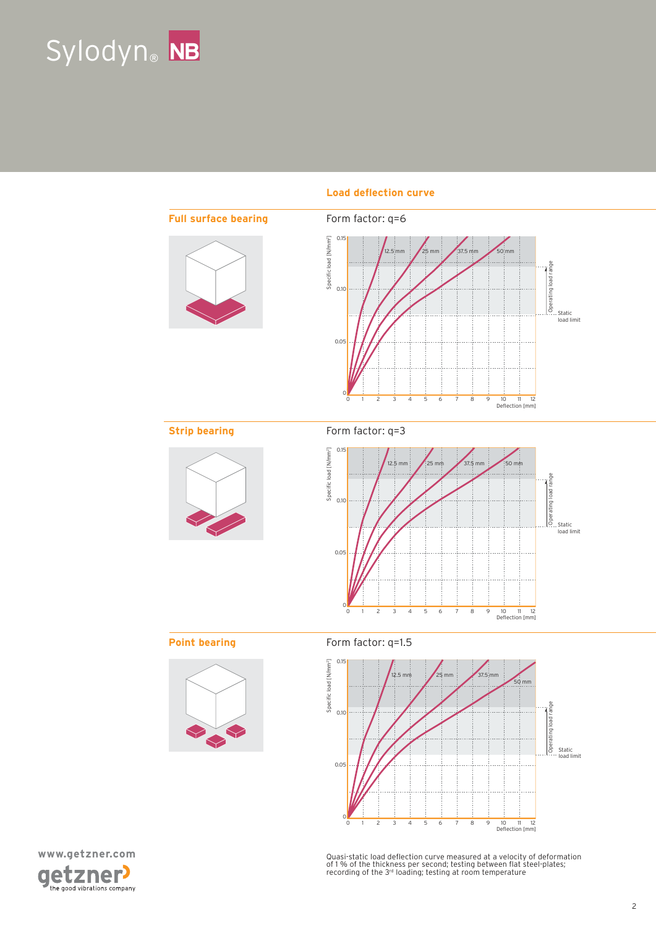



### Load deflection curve





Quasi-static load deflection curve measured at a velocity of deformation<br>of 1 % of the thickness per second; testing between flat steel-plates;<br>recording of the 3rª loading; testing at room temperature

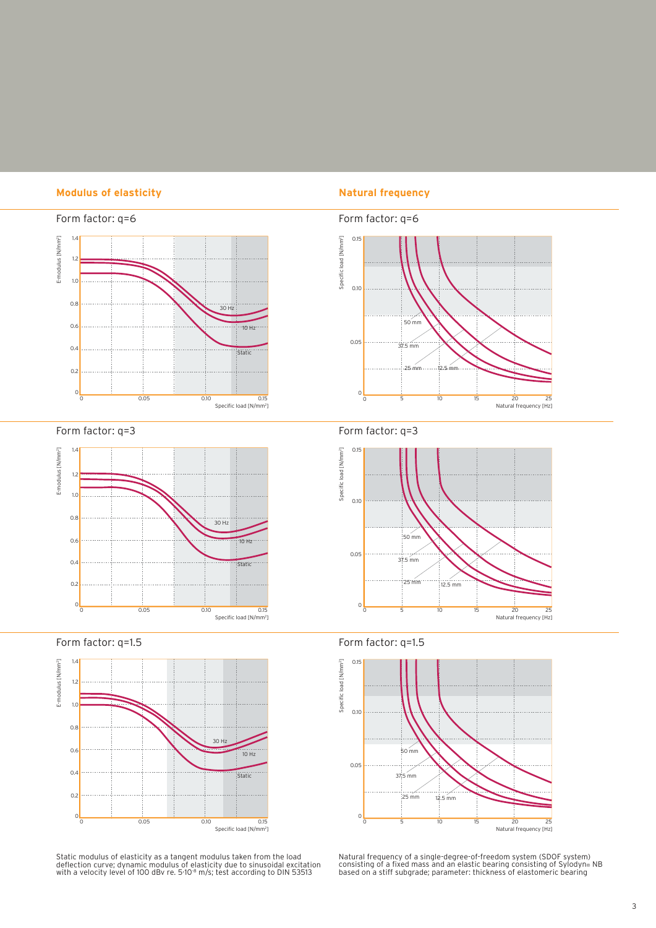### **Modulus of elasticity Natural frequency**



Form factor: q=3



Form factor: q=1.5



Static modulus of elasticity as a tangent modulus taken from the load<br>deflection curve; dynamic modulus of elasticity due to sinusoidal excitation<br>with a velocity level of 100 dBv re. 5·10<sup>.8</sup> m/s; test according to DIN 53







Form factor: q=1.5



Natural frequency of a single-degree-of-freedom system (SDOF system)<br>consisting of a fixed mass and an elastic bearing consisting of Sylodyn® NB<br>based on a stiff subgrade; parameter: thickness of elastomeric bearing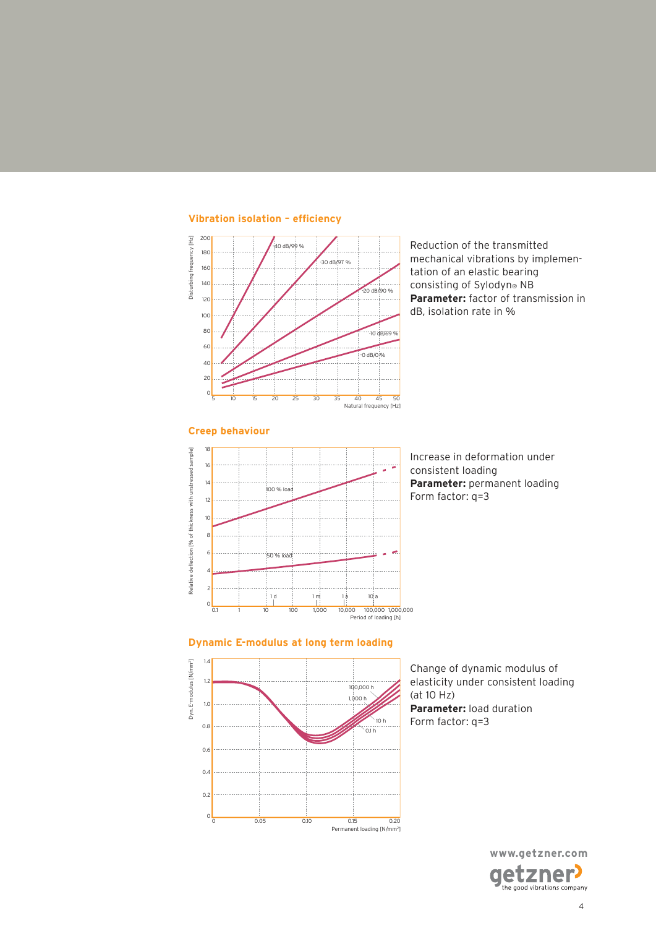

**Vibration isolation – eficiency**

Reduction of the transmitted mechanical vibrations by implementation of an elastic bearing consisting of Sylodyn® NB **Parameter:** factor of transmission in dB, isolation rate in %



Increase in deformation under consistent loading **Parameter:** permanent loading Form factor: q=3

### **Dynamic E-modulus at long term loading**



Change of dynamic modulus of elasticity under consistent loading (at 10 Hz) **Parameter:** load duration Form factor: q=3

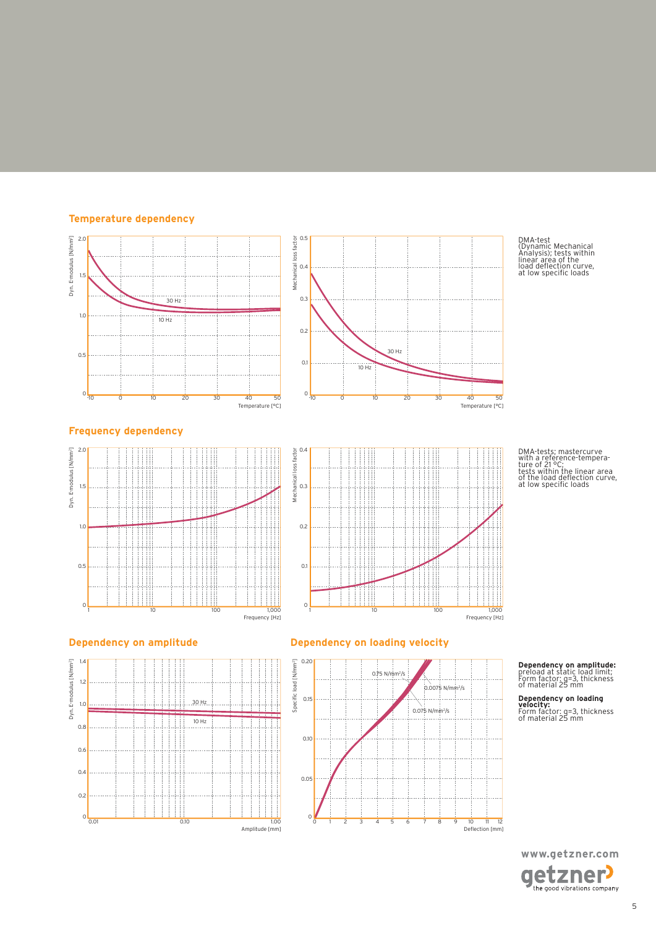### **Temperature dependency**



DMA-test (Dynamic Mechanical Analysis); tests within linear area of the load delection curve, at low speciic loads

DMA-tests; mastercurve with a reference-tempera-ture of 21 °C; tests within the linear area of the load delection curve, at low speciic loads







### **Dependency on amplitude Dependency on loading velocity**



# **Dependency on amplitude:** preload at static load limit; Form factor: q=3, thickness of material 25 mm

**Dependency on loading velocity:** Form factor: q=3, thickness of material 25 mm